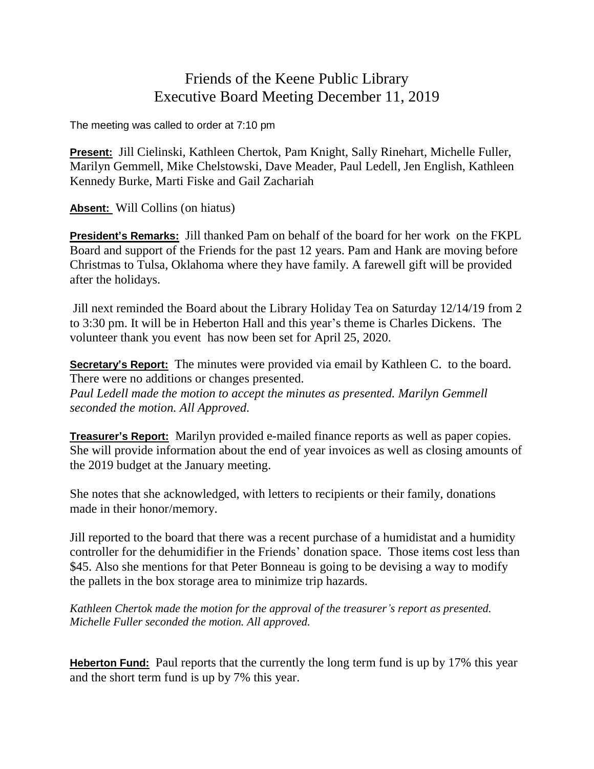## Friends of the Keene Public Library Executive Board Meeting December 11, 2019

The meeting was called to order at 7:10 pm

**Present:** Jill Cielinski, Kathleen Chertok, Pam Knight, Sally Rinehart, Michelle Fuller, Marilyn Gemmell, Mike Chelstowski, Dave Meader, Paul Ledell, Jen English, Kathleen Kennedy Burke, Marti Fiske and Gail Zachariah

**Absent:** Will Collins (on hiatus)

**President's Remarks:** Jill thanked Pam on behalf of the board for her work on the FKPL Board and support of the Friends for the past 12 years. Pam and Hank are moving before Christmas to Tulsa, Oklahoma where they have family. A farewell gift will be provided after the holidays.

Jill next reminded the Board about the Library Holiday Tea on Saturday 12/14/19 from 2 to 3:30 pm. It will be in Heberton Hall and this year's theme is Charles Dickens. The volunteer thank you event has now been set for April 25, 2020.

**Secretary's Report:** The minutes were provided via email by Kathleen C. to the board. There were no additions or changes presented. *Paul Ledell made the motion to accept the minutes as presented. Marilyn Gemmell seconded the motion. All Approved.*

**Treasurer's Report:** Marilyn provided e-mailed finance reports as well as paper copies. She will provide information about the end of year invoices as well as closing amounts of the 2019 budget at the January meeting.

She notes that she acknowledged, with letters to recipients or their family, donations made in their honor/memory.

Jill reported to the board that there was a recent purchase of a humidistat and a humidity controller for the dehumidifier in the Friends' donation space. Those items cost less than \$45. Also she mentions for that Peter Bonneau is going to be devising a way to modify the pallets in the box storage area to minimize trip hazards.

*Kathleen Chertok made the motion for the approval of the treasurer's report as presented. Michelle Fuller seconded the motion. All approved.*

**Heberton Fund:** Paul reports that the currently the long term fund is up by 17% this year and the short term fund is up by 7% this year.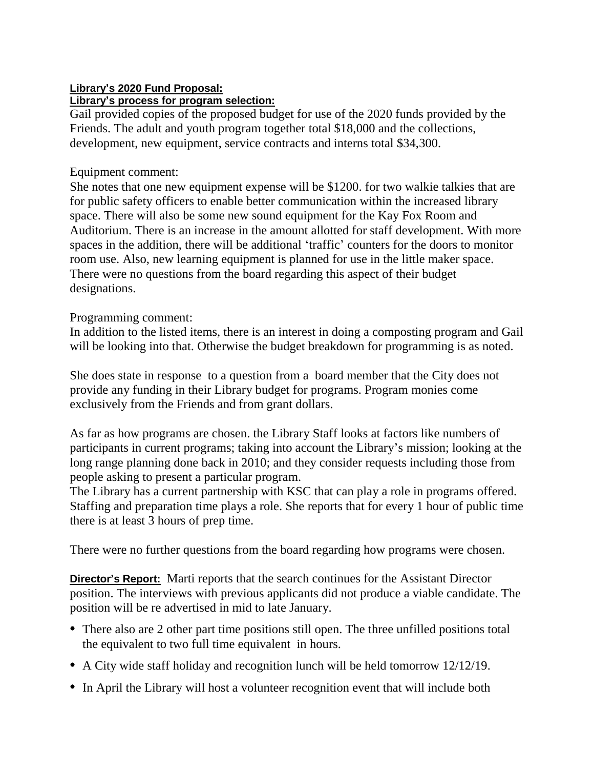## **Library's 2020 Fund Proposal: Library's process for program selection:**

Gail provided copies of the proposed budget for use of the 2020 funds provided by the Friends. The adult and youth program together total \$18,000 and the collections, development, new equipment, service contracts and interns total \$34,300.

## Equipment comment:

She notes that one new equipment expense will be \$1200. for two walkie talkies that are for public safety officers to enable better communication within the increased library space. There will also be some new sound equipment for the Kay Fox Room and Auditorium. There is an increase in the amount allotted for staff development. With more spaces in the addition, there will be additional 'traffic' counters for the doors to monitor room use. Also, new learning equipment is planned for use in the little maker space. There were no questions from the board regarding this aspect of their budget designations.

## Programming comment:

In addition to the listed items, there is an interest in doing a composting program and Gail will be looking into that. Otherwise the budget breakdown for programming is as noted.

She does state in response to a question from a board member that the City does not provide any funding in their Library budget for programs. Program monies come exclusively from the Friends and from grant dollars.

As far as how programs are chosen. the Library Staff looks at factors like numbers of participants in current programs; taking into account the Library's mission; looking at the long range planning done back in 2010; and they consider requests including those from people asking to present a particular program.

The Library has a current partnership with KSC that can play a role in programs offered. Staffing and preparation time plays a role. She reports that for every 1 hour of public time there is at least 3 hours of prep time.

There were no further questions from the board regarding how programs were chosen.

**Director's Report:** Marti reports that the search continues for the Assistant Director position. The interviews with previous applicants did not produce a viable candidate. The position will be re advertised in mid to late January.

- There also are 2 other part time positions still open. The three unfilled positions total the equivalent to two full time equivalent in hours.
- A City wide staff holiday and recognition lunch will be held tomorrow 12/12/19.
- In April the Library will host a volunteer recognition event that will include both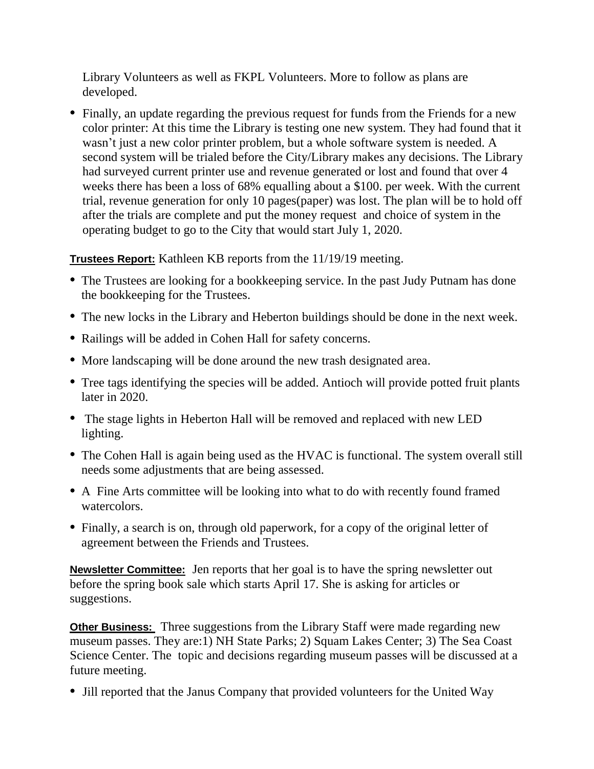Library Volunteers as well as FKPL Volunteers. More to follow as plans are developed.

• Finally, an update regarding the previous request for funds from the Friends for a new color printer: At this time the Library is testing one new system. They had found that it wasn't just a new color printer problem, but a whole software system is needed. A second system will be trialed before the City/Library makes any decisions. The Library had surveyed current printer use and revenue generated or lost and found that over 4 weeks there has been a loss of 68% equalling about a \$100. per week. With the current trial, revenue generation for only 10 pages(paper) was lost. The plan will be to hold off after the trials are complete and put the money request and choice of system in the operating budget to go to the City that would start July 1, 2020.

**Trustees Report:** Kathleen KB reports from the 11/19/19 meeting.

- The Trustees are looking for a bookkeeping service. In the past Judy Putnam has done the bookkeeping for the Trustees.
- The new locks in the Library and Heberton buildings should be done in the next week.
- Railings will be added in Cohen Hall for safety concerns.
- More landscaping will be done around the new trash designated area.
- Tree tags identifying the species will be added. Antioch will provide potted fruit plants later in 2020.
- The stage lights in Heberton Hall will be removed and replaced with new LED lighting.
- The Cohen Hall is again being used as the HVAC is functional. The system overall still needs some adjustments that are being assessed.
- A Fine Arts committee will be looking into what to do with recently found framed watercolors.
- Finally, a search is on, through old paperwork, for a copy of the original letter of agreement between the Friends and Trustees.

**Newsletter Committee:** Jen reports that her goal is to have the spring newsletter out before the spring book sale which starts April 17. She is asking for articles or suggestions.

**Other Business:** Three suggestions from the Library Staff were made regarding new museum passes. They are:1) NH State Parks; 2) Squam Lakes Center; 3) The Sea Coast Science Center. The topic and decisions regarding museum passes will be discussed at a future meeting.

• Jill reported that the Janus Company that provided volunteers for the United Way